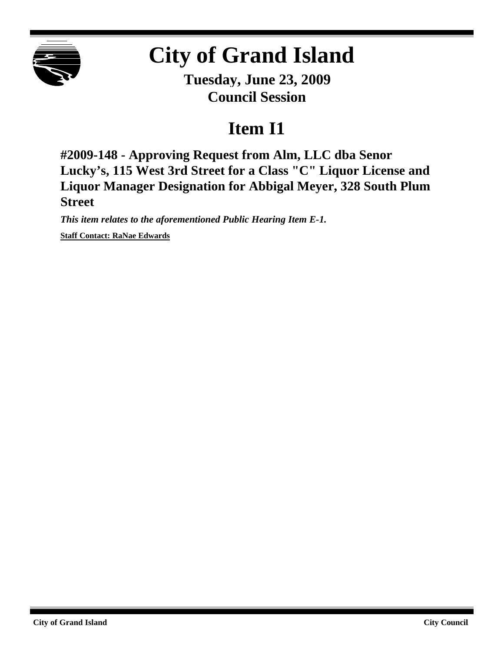

## **City of Grand Island**

**Tuesday, June 23, 2009 Council Session**

## **Item I1**

**#2009-148 - Approving Request from Alm, LLC dba Senor Lucky's, 115 West 3rd Street for a Class "C" Liquor License and Liquor Manager Designation for Abbigal Meyer, 328 South Plum Street**

*This item relates to the aforementioned Public Hearing Item E-1.* **Staff Contact: RaNae Edwards**